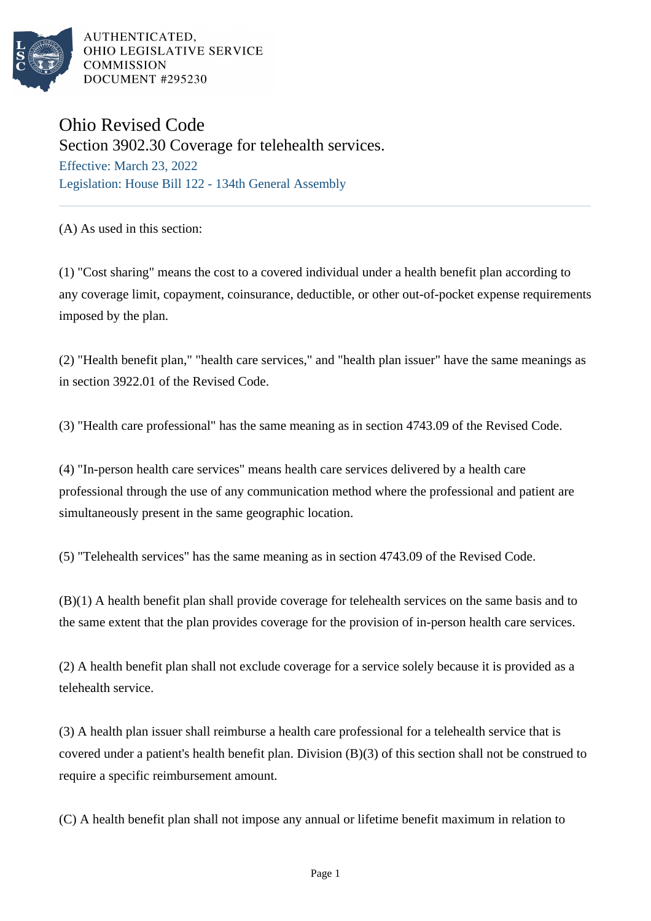

AUTHENTICATED. OHIO LEGISLATIVE SERVICE **COMMISSION** DOCUMENT #295230

## Ohio Revised Code

Section 3902.30 Coverage for telehealth services. Effective: March 23, 2022 Legislation: House Bill 122 - 134th General Assembly

(A) As used in this section:

(1) "Cost sharing" means the cost to a covered individual under a health benefit plan according to any coverage limit, copayment, coinsurance, deductible, or other out-of-pocket expense requirements imposed by the plan.

(2) "Health benefit plan," "health care services," and "health plan issuer" have the same meanings as in section 3922.01 of the Revised Code.

(3) "Health care professional" has the same meaning as in section 4743.09 of the Revised Code.

(4) "In-person health care services" means health care services delivered by a health care professional through the use of any communication method where the professional and patient are simultaneously present in the same geographic location.

(5) "Telehealth services" has the same meaning as in section 4743.09 of the Revised Code.

(B)(1) A health benefit plan shall provide coverage for telehealth services on the same basis and to the same extent that the plan provides coverage for the provision of in-person health care services.

(2) A health benefit plan shall not exclude coverage for a service solely because it is provided as a telehealth service.

(3) A health plan issuer shall reimburse a health care professional for a telehealth service that is covered under a patient's health benefit plan. Division (B)(3) of this section shall not be construed to require a specific reimbursement amount.

(C) A health benefit plan shall not impose any annual or lifetime benefit maximum in relation to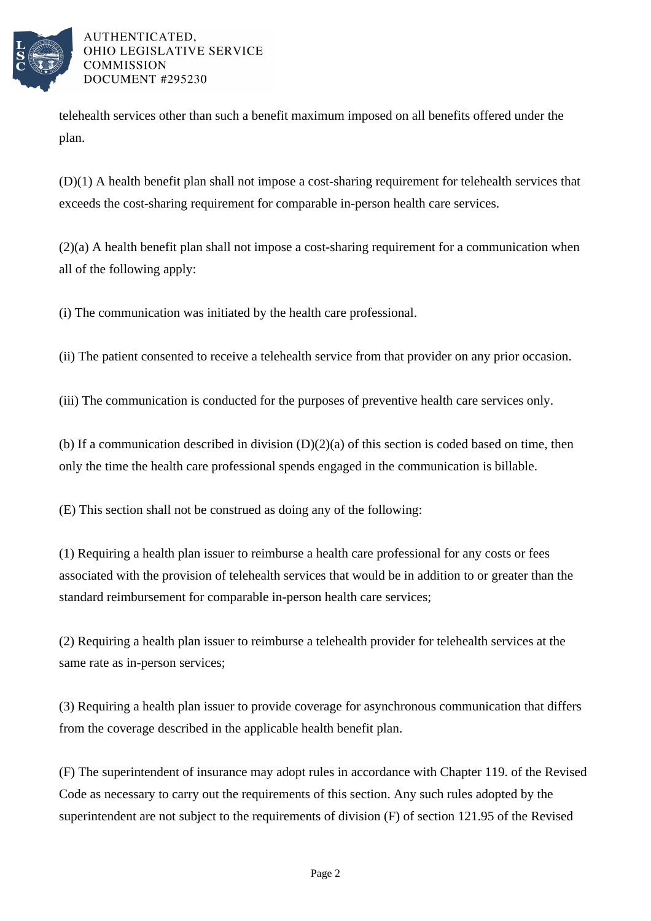

AUTHENTICATED. OHIO LEGISLATIVE SERVICE **COMMISSION** DOCUMENT #295230

telehealth services other than such a benefit maximum imposed on all benefits offered under the plan.

(D)(1) A health benefit plan shall not impose a cost-sharing requirement for telehealth services that exceeds the cost-sharing requirement for comparable in-person health care services.

(2)(a) A health benefit plan shall not impose a cost-sharing requirement for a communication when all of the following apply:

(i) The communication was initiated by the health care professional.

(ii) The patient consented to receive a telehealth service from that provider on any prior occasion.

(iii) The communication is conducted for the purposes of preventive health care services only.

(b) If a communication described in division  $(D)(2)(a)$  of this section is coded based on time, then only the time the health care professional spends engaged in the communication is billable.

(E) This section shall not be construed as doing any of the following:

(1) Requiring a health plan issuer to reimburse a health care professional for any costs or fees associated with the provision of telehealth services that would be in addition to or greater than the standard reimbursement for comparable in-person health care services;

(2) Requiring a health plan issuer to reimburse a telehealth provider for telehealth services at the same rate as in-person services;

(3) Requiring a health plan issuer to provide coverage for asynchronous communication that differs from the coverage described in the applicable health benefit plan.

(F) The superintendent of insurance may adopt rules in accordance with Chapter 119. of the Revised Code as necessary to carry out the requirements of this section. Any such rules adopted by the superintendent are not subject to the requirements of division (F) of section 121.95 of the Revised